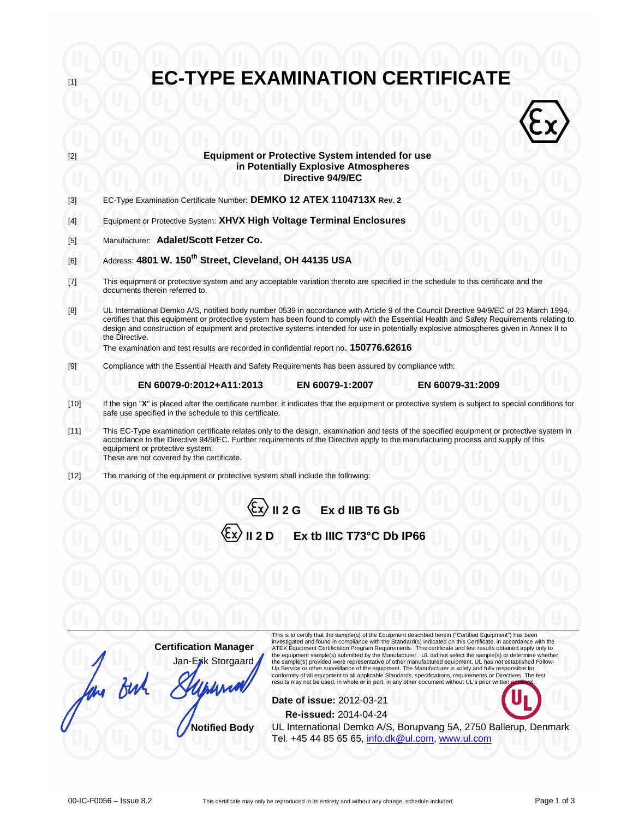| [1]    | <b>EC-TYPE EXAMINATION CERTIFICATE</b>                                                                                                                                                                                                                                                                                                                                                                                                         |  |  |  |  |
|--------|------------------------------------------------------------------------------------------------------------------------------------------------------------------------------------------------------------------------------------------------------------------------------------------------------------------------------------------------------------------------------------------------------------------------------------------------|--|--|--|--|
|        |                                                                                                                                                                                                                                                                                                                                                                                                                                                |  |  |  |  |
| [2]    | <b>Equipment or Protective System intended for use</b><br>in Potentially Explosive Atmospheres<br>Directive 94/9/EC                                                                                                                                                                                                                                                                                                                            |  |  |  |  |
| $[3]$  | EC-Type Examination Certificate Number: DEMKO 12 ATEX 1104713X Rev. 2                                                                                                                                                                                                                                                                                                                                                                          |  |  |  |  |
| [4]    | Equipment or Protective System: XHVX High Voltage Terminal Enclosures                                                                                                                                                                                                                                                                                                                                                                          |  |  |  |  |
| $[5]$  | Manufacturer: Adalet/Scott Fetzer Co.                                                                                                                                                                                                                                                                                                                                                                                                          |  |  |  |  |
| [6]    | Address: 4801 W. 150 <sup>th</sup> Street, Cleveland, OH 44135 USA                                                                                                                                                                                                                                                                                                                                                                             |  |  |  |  |
| $[7]$  | This equipment or protective system and any acceptable variation thereto are specified in the schedule to this certificate and the                                                                                                                                                                                                                                                                                                             |  |  |  |  |
|        | documents therein referred to.                                                                                                                                                                                                                                                                                                                                                                                                                 |  |  |  |  |
| [8]    | UL International Demko A/S, notified body number 0539 in accordance with Article 9 of the Council Directive 94/9/EC of 23 March 1994,<br>certifies that this equipment or protective system has been found to comply with the Essential Health and Safety Requirements relating to<br>design and construction of equipment and protective systems intended for use in potentially explosive atmospheres given in Annex II to<br>the Directive. |  |  |  |  |
|        | The examination and test results are recorded in confidential report no. 150776.62616                                                                                                                                                                                                                                                                                                                                                          |  |  |  |  |
| $[9]$  | Compliance with the Essential Health and Safety Requirements has been assured by compliance with:                                                                                                                                                                                                                                                                                                                                              |  |  |  |  |
|        | EN 60079-1:2007<br>EN 60079-31:2009<br>EN 60079-0:2012+A11:2013                                                                                                                                                                                                                                                                                                                                                                                |  |  |  |  |
| $[10]$ | If the sign "X" is placed after the certificate number, it indicates that the equipment or protective system is subject to special conditions for<br>safe use specified in the schedule to this certificate.                                                                                                                                                                                                                                   |  |  |  |  |
| $[11]$ | This EC-Type examination certificate relates only to the design, examination and tests of the specified equipment or protective system in<br>accordance to the Directive 94/9/EC. Further requirements of the Directive apply to the manufacturing process and supply of this<br>equipment or protective system.<br>These are not covered by the certificate.                                                                                  |  |  |  |  |
| $[12]$ | The marking of the equipment or protective system shall include the following:                                                                                                                                                                                                                                                                                                                                                                 |  |  |  |  |
|        | Il 2 G Ex d IIB T6 Gb                                                                                                                                                                                                                                                                                                                                                                                                                          |  |  |  |  |
|        | II 2D<br>Ex tb IIIC T73°C Db IP66                                                                                                                                                                                                                                                                                                                                                                                                              |  |  |  |  |
|        |                                                                                                                                                                                                                                                                                                                                                                                                                                                |  |  |  |  |
|        |                                                                                                                                                                                                                                                                                                                                                                                                                                                |  |  |  |  |
|        |                                                                                                                                                                                                                                                                                                                                                                                                                                                |  |  |  |  |
|        |                                                                                                                                                                                                                                                                                                                                                                                                                                                |  |  |  |  |
|        | This is to certify that the sample(s) of the Equipment described herein ("Certified Equipment") has been                                                                                                                                                                                                                                                                                                                                       |  |  |  |  |
|        | investigated and found in compliance with the Standard(s) indicated on this Certificate, in accordance with the<br><b>Certification Manager</b><br>ATEX Equipment Certification Program Requirements. This certificate and test results obtained apply only to<br>the equipment sample(s) submitted by the Manufacturer. UL did not select the sample(s) or determine whether                                                                  |  |  |  |  |
|        | Jan-Ezik Storgaard<br>the sample(s) provided were representative of other manufactured equipment. UL has not established Follow-<br>Up Service or other surveillance of the equipment. The Manufacturer is solely and fully responsible for<br>conformity of all equipment to all applicable Standards, specifications, requirements or Directives. The test                                                                                   |  |  |  |  |
|        | results may not be used, in whole or in part, in any other document without UL's prior written app                                                                                                                                                                                                                                                                                                                                             |  |  |  |  |
|        | Date of issue: 2012-03-21                                                                                                                                                                                                                                                                                                                                                                                                                      |  |  |  |  |
|        | <b>Re-issued: 2014-04-24</b>                                                                                                                                                                                                                                                                                                                                                                                                                   |  |  |  |  |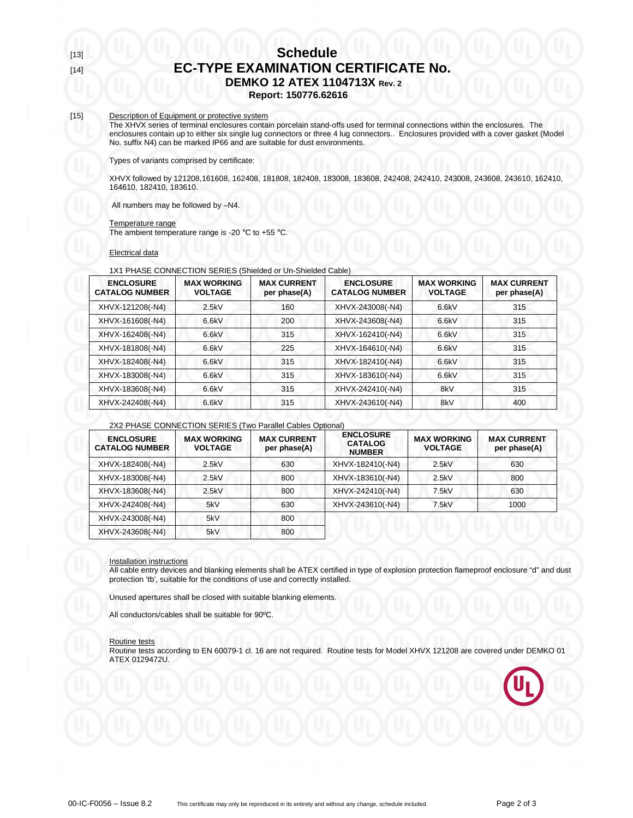# [13] **Schedule** [14] **EC-TYPE EXAMINATION CERTIFICATE No. DEMKO 12 ATEX 1104713X Rev. 2**

**Report: 150776.62616** 

## [15] Description of Equipment or protective system

The XHVX series of terminal enclosures contain porcelain stand-offs used for terminal connections within the enclosures. The enclosures contain up to either six single lug connectors or three 4 lug connectors.. Enclosures provided with a cover gasket (Model No. suffix N4) can be marked IP66 and are suitable for dust environments.

Types of variants comprised by certificate:

XHVX followed by 121208,161608, 162408, 181808, 182408, 183008, 183608, 242408, 242410, 243008, 243608, 243610, 162410, 164610, 182410, 183610.

All numbers may be followed by –N4.

#### Temperature range

The ambient temperature range is -20  $^{\circ}$ C to +55  $^{\circ}$ C.

Electrical data

#### 1X1 PHASE CONNECTION SERIES (Shielded or Un-Shielded Cable)

| <b>ENCLOSURE</b><br><b>CATALOG NUMBER</b> | <b>MAX WORKING</b><br><b>VOLTAGE</b> | <b>MAX CURRENT</b><br>per phase(A) | <b>ENCLOSURE</b><br><b>CATALOG NUMBER</b> | <b>MAX WORKING</b><br><b>VOLTAGE</b> | <b>MAX CURRENT</b><br>per phase(A) |
|-------------------------------------------|--------------------------------------|------------------------------------|-------------------------------------------|--------------------------------------|------------------------------------|
| XHVX-121208(-N4)                          | 2.5kV                                | 160                                | XHVX-243008(-N4)                          | 6.6kV                                | 315                                |
| XHVX-161608(-N4)                          | 6.6kV                                | 200                                | XHVX-243608(-N4)                          | 6.6kV                                | 315                                |
| XHVX-162408(-N4)                          | 6.6kV                                | 315                                | XHVX-162410(-N4)                          | 6.6kV                                | 315                                |
| XHVX-181808(-N4)                          | 6.6kV                                | 225                                | XHVX-164610(-N4)                          | 6.6kV                                | 315                                |
| XHVX-182408(-N4)                          | 6.6kV                                | 315                                | XHVX-182410(-N4)                          | 6.6kV                                | 315                                |
| XHVX-183008(-N4)                          | 6.6kV                                | 315                                | XHVX-183610(-N4)                          | 6.6kV                                | 315                                |
| XHVX-183608(-N4)                          | 6.6kV                                | 315                                | XHVX-242410(-N4)                          | 8kV                                  | 315                                |
| XHVX-242408(-N4)                          | 6.6kV                                | 315                                | XHVX-243610(-N4)                          | 8kV                                  | 400                                |

#### 2X2 PHASE CONNECTION SERIES (Two Parallel Cables Optional)

| <b>ENCLOSURE</b><br><b>CATALOG NUMBER</b> | <b>MAX WORKING</b><br><b>VOLTAGE</b> | <b>MAX CURRENT</b><br>per phase(A) | <b>ENCLOSURE</b><br><b>CATALOG</b><br><b>NUMBER</b> | <b>MAX WORKING</b><br><b>VOLTAGE</b> | <b>MAX CURRENT</b><br>per phase(A) |
|-------------------------------------------|--------------------------------------|------------------------------------|-----------------------------------------------------|--------------------------------------|------------------------------------|
| XHVX-182408(-N4)                          | 2.5kV                                | 630                                | XHVX-182410(-N4)                                    | 2.5kV                                | 630                                |
| XHVX-183008(-N4)                          | 2.5kV                                | 800                                | XHVX-183610(-N4)                                    | 2.5kV                                | 800                                |
| XHVX-183608(-N4)                          | 2.5kV                                | 800                                | XHVX-242410(-N4)                                    | 7.5kV                                | 630                                |
| XHVX-242408(-N4)                          | 5kV                                  | 630                                | XHVX-243610(-N4)                                    | 7.5kV                                | 1000                               |
| XHVX-243008(-N4)                          | 5kV                                  | 800                                |                                                     |                                      |                                    |
| XHVX-243608(-N4)                          | 5kV                                  | 800                                |                                                     |                                      |                                    |

#### Installation instructions

All cable entry devices and blanking elements shall be ATEX certified in type of explosion protection flameproof enclosure "d" and dust protection 'tb', suitable for the conditions of use and correctly installed.

Unused apertures shall be closed with suitable blanking elements.

All conductors/cables shall be suitable for 90ºC.

#### Routine tests

Routine tests according to EN 60079-1 cl. 16 are not required. Routine tests for Model XHVX 121208 are covered under DEMKO 01 ATEX 0129472U.